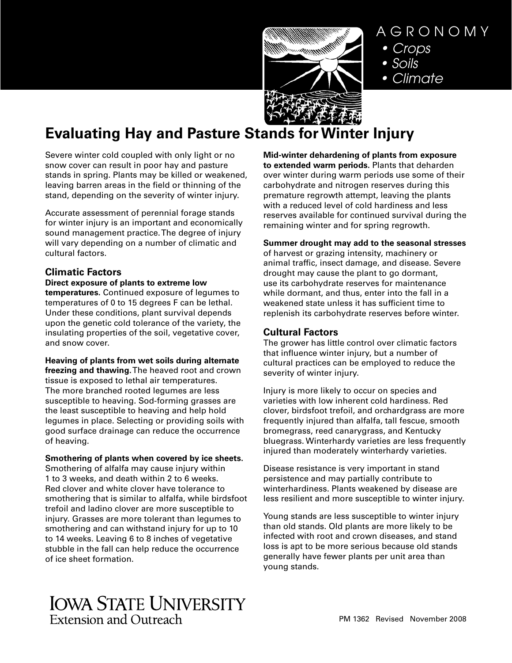

# AGRONOMY

- Crops
- Soils
- Climate

# **Evaluating Hay and Pasture Stands for Winter Injury**

Severe winter cold coupled with only light or no snow cover can result in poor hay and pasture stands in spring. Plants may be killed or weakened, leaving barren areas in the field or thinning of the stand, depending on the severity of winter injury.

Accurate assessment of perennial forage stands for winter injury is an important and economically sound management practice. The degree of injury will vary depending on a number of climatic and cultural factors.

# **Climatic Factors**

## **Direct exposure of plants to extreme low**

**temperatures.** Continued exposure of legumes to temperatures of 0 to 15 degrees F can be lethal. Under these conditions, plant survival depends upon the genetic cold tolerance of the variety, the insulating properties of the soil, vegetative cover, and snow cover.

## **Heaving of plants from wet soils during alternate**

**freezing and thawing.** The heaved root and crown tissue is exposed to lethal air temperatures. The more branched rooted legumes are less susceptible to heaving. Sod-forming grasses are the least susceptible to heaving and help hold legumes in place. Selecting or providing soils with good surface drainage can reduce the occurrence of heaving.

## **Smothering of plants when covered by ice sheets.**

Smothering of alfalfa may cause injury within 1 to 3 weeks, and death within 2 to 6 weeks. Red clover and white clover have tolerance to smothering that is similar to alfalfa, while birdsfoot trefoil and ladino clover are more susceptible to injury. Grasses are more tolerant than legumes to smothering and can withstand injury for up to 10 to 14 weeks. Leaving 6 to 8 inches of vegetative stubble in the fall can help reduce the occurrence of ice sheet formation.

**Mid-winter dehardening of plants from exposure to extended warm periods.** Plants that deharden over winter during warm periods use some of their carbohydrate and nitrogen reserves during this premature regrowth attempt, leaving the plants with a reduced level of cold hardiness and less reserves available for continued survival during the remaining winter and for spring regrowth.

### **Summer drought may add to the seasonal stresses**

of harvest or grazing intensity, machinery or animal traffic, insect damage, and disease. Severe drought may cause the plant to go dormant, use its carbohydrate reserves for maintenance while dormant, and thus, enter into the fall in a weakened state unless it has sufficient time to replenish its carbohydrate reserves before winter.

## **Cultural Factors**

The grower has little control over climatic factors that influence winter injury, but a number of cultural practices can be employed to reduce the severity of winter injury.

Injury is more likely to occur on species and varieties with low inherent cold hardiness. Red clover, birdsfoot trefoil, and orchardgrass are more frequently injured than alfalfa, tall fescue, smooth bromegrass, reed canarygrass, and Kentucky bluegrass. Winterhardy varieties are less frequently injured than moderately winterhardy varieties.

Disease resistance is very important in stand persistence and may partially contribute to winterhardiness. Plants weakened by disease are less resilient and more susceptible to winter injury.

Young stands are less susceptible to winter injury than old stands. Old plants are more likely to be infected with root and crown diseases, and stand loss is apt to be more serious because old stands generally have fewer plants per unit area than young stands.

# **IOWA STATE UNIVERSITY Extension and Outreach**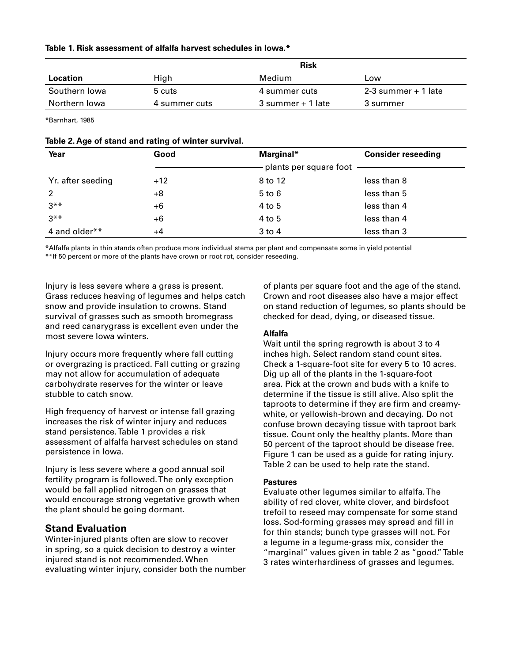|  |  | Table 1. Risk assessment of alfalfa harvest schedules in lowa.* |  |  |  |  |  |  |  |
|--|--|-----------------------------------------------------------------|--|--|--|--|--|--|--|
|--|--|-----------------------------------------------------------------|--|--|--|--|--|--|--|

|                 |               | Risk              |                     |
|-----------------|---------------|-------------------|---------------------|
| <b>Location</b> | High          | Medium            | Low                 |
| Southern Iowa   | 5 cuts        | 4 summer cuts     | 2-3 summer + 1 late |
| Northern Iowa   | 4 summer cuts | 3 summer + 1 late | 3 summer            |
|                 |               |                   |                     |

\*Barnhart, 1985

| Table 2. Age of stand and rating of winter survival. |  |  |
|------------------------------------------------------|--|--|
|------------------------------------------------------|--|--|

| Year              | Good  | Marginal*                | <b>Consider reseeding</b> |
|-------------------|-------|--------------------------|---------------------------|
|                   |       | plants per square foot - |                           |
| Yr. after seeding | $+12$ | 8 to 12                  | less than 8               |
| $\overline{2}$    | +8    | $5$ to $6$               | less than 5               |
| $3***$            | +6    | 4 to 5                   | less than 4               |
| $3***$            | $+6$  | 4 to 5                   | less than 4               |
| 4 and older**     | +4    | 3 to 4                   | less than 3               |

\*Alfalfa plants in thin stands often produce more individual stems per plant and compensate some in yield potential \*\*If 50 percent or more of the plants have crown or root rot, consider reseeding.

Injury is less severe where a grass is present. Grass reduces heaving of legumes and helps catch snow and provide insulation to crowns. Stand survival of grasses such as smooth bromegrass and reed canarygrass is excellent even under the most severe Iowa winters.

Injury occurs more frequently where fall cutting or overgrazing is practiced. Fall cutting or grazing may not allow for accumulation of adequate carbohydrate reserves for the winter or leave stubble to catch snow.

High frequency of harvest or intense fall grazing increases the risk of winter injury and reduces stand persistence. Table 1 provides a risk assessment of alfalfa harvest schedules on stand persistence in Iowa.

Injury is less severe where a good annual soil fertility program is followed. The only exception would be fall applied nitrogen on grasses that would encourage strong vegetative growth when the plant should be going dormant.

# **Stand Evaluation**

Winter-injured plants often are slow to recover in spring, so a quick decision to destroy a winter injured stand is not recommended. When evaluating winter injury, consider both the number of plants per square foot and the age of the stand. Crown and root diseases also have a major effect on stand reduction of legumes, so plants should be checked for dead, dying, or diseased tissue.

### **Alfalfa**

Wait until the spring regrowth is about 3 to 4 inches high. Select random stand count sites. Check a 1-square-foot site for every 5 to 10 acres. Dig up all of the plants in the 1-square-foot area. Pick at the crown and buds with a knife to determine if the tissue is still alive. Also split the taproots to determine if they are firm and creamywhite, or yellowish-brown and decaying. Do not confuse brown decaying tissue with taproot bark tissue. Count only the healthy plants. More than 50 percent of the taproot should be disease free. Figure 1 can be used as a guide for rating injury. Table 2 can be used to help rate the stand.

### **Pastures**

Evaluate other legumes similar to alfalfa. The ability of red clover, white clover, and birdsfoot trefoil to reseed may compensate for some stand loss. Sod-forming grasses may spread and fill in for thin stands; bunch type grasses will not. For a legume in a legume-grass mix, consider the "marginal" values given in table 2 as "good." Table 3 rates winterhardiness of grasses and legumes.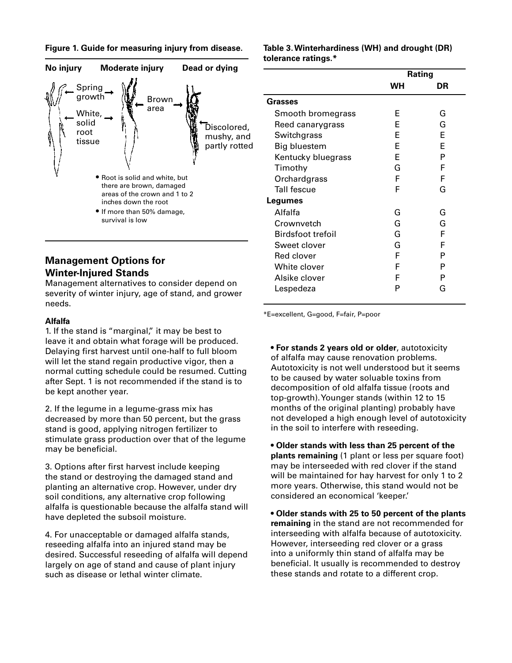



## **Management Options for Winter-Injured Stands**

Management alternatives to consider depend on severity of winter injury, age of stand, and grower needs.

#### **Alfalfa**

1. If the stand is "marginal," it may be best to leave it and obtain what forage will be produced. Delaying first harvest until one-half to full bloom will let the stand regain productive vigor, then a normal cutting schedule could be resumed. Cutting after Sept. 1 is not recommended if the stand is to be kept another year.

2. If the legume in a legume-grass mix has decreased by more than 50 percent, but the grass stand is good, applying nitrogen fertilizer to stimulate grass production over that of the legume may be beneficial.

3. Options after first harvest include keeping the stand or destroying the damaged stand and planting an alternative crop. However, under dry soil conditions, any alternative crop following alfalfa is questionable because the alfalfa stand will have depleted the subsoil moisture.

4. For unacceptable or damaged alfalfa stands, reseeding alfalfa into an injured stand may be desired. Successful reseeding of alfalfa will depend largely on age of stand and cause of plant injury such as disease or lethal winter climate.

#### **Table 3. Winterhardiness (WH) and drought (DR) tolerance ratings.\***

|                    | Rating |    |
|--------------------|--------|----|
|                    | WН     | DR |
| <b>Grasses</b>     |        |    |
| Smooth bromegrass  | F      | G  |
| Reed canarygrass   | F      | G  |
| Switchgrass        | F      | F  |
| Big bluestem       | F      | F  |
| Kentucky bluegrass | F      | P  |
| Timothy            | G      | F  |
| Orchardgrass       | F      | F  |
| <b>Tall fescue</b> | F      | G  |
| Legumes            |        |    |
| Alfalfa            | G      | G  |
| Crownvetch         | G      | G  |
| Birdsfoot trefoil  | G      | F  |
| Sweet clover       | G      | F  |
| Red clover         | F      | P  |
| White clover       | F      | Р  |
| Alsike clover      | F      | Р  |
| Lespedeza          | P      | G  |

\*E=excellent, G=good, F=fair, P=poor

**• For stands 2 years old or older**, autotoxicity of alfalfa may cause renovation problems. Autotoxicity is not well understood but it seems to be caused by water soluable toxins from decomposition of old alfalfa tissue (roots and top-growth). Younger stands (within 12 to 15 months of the original planting) probably have not developed a high enough level of autotoxicity in the soil to interfere with reseeding.

**• Older stands with less than 25 percent of the plants remaining** (1 plant or less per square foot) may be interseeded with red clover if the stand will be maintained for hay harvest for only 1 to 2 more years. Otherwise, this stand would not be considered an economical 'keeper.'

**• Older stands with 25 to 50 percent of the plants remaining** in the stand are not recommended for interseeding with alfalfa because of autotoxicity. However, interseeding red clover or a grass into a uniformly thin stand of alfalfa may be beneficial. It usually is recommended to destroy these stands and rotate to a different crop.